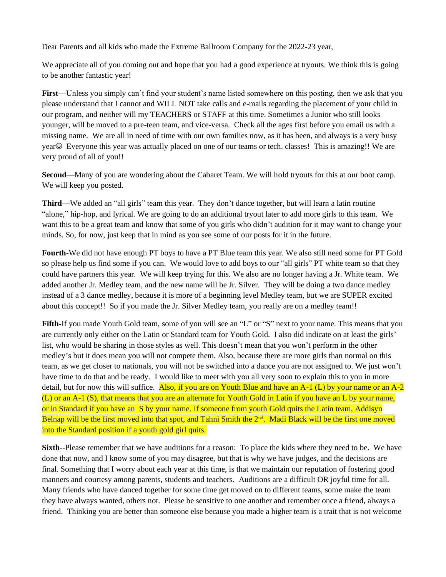Dear Parents and all kids who made the Extreme Ballroom Company for the 2022-23 year,

We appreciate all of you coming out and hope that you had a good experience at tryouts. We think this is going to be another fantastic year!

**First**—Unless you simply can't find your student's name listed somewhere on this posting, then we ask that you please understand that I cannot and WILL NOT take calls and e-mails regarding the placement of your child in our program, and neither will my TEACHERS or STAFF at this time. Sometimes a Junior who still looks younger, will be moved to a pre-teen team, and vice-versa. Check all the ages first before you email us with a missing name. We are all in need of time with our own families now, as it has been, and always is a very busy year☺ Everyone this year was actually placed on one of our teams or tech. classes! This is amazing!! We are very proud of all of you!!

**Second—Many** of you are wondering about the Cabaret Team. We will hold tryouts for this at our boot camp. We will keep you posted.

**Third—**We added an "all girls" team this year. They don't dance together, but will learn a latin routine "alone," hip-hop, and lyrical. We are going to do an additional tryout later to add more girls to this team. We want this to be a great team and know that some of you girls who didn't audition for it may want to change your minds. So, for now, just keep that in mind as you see some of our posts for it in the future.

**Fourth-**We did not have enough PT boys to have a PT Blue team this year. We also still need some for PT Gold so please help us find some if you can. We would love to add boys to our "all girls" PT white team so that they could have partners this year. We will keep trying for this. We also are no longer having a Jr. White team. We added another Jr. Medley team, and the new name will be Jr. Silver. They will be doing a two dance medley instead of a 3 dance medley, because it is more of a beginning level Medley team, but we are SUPER excited about this concept!! So if you made the Jr. Silver Medley team, you really are on a medley team!!

Fifth-If you made Youth Gold team, some of you will see an "L" or "S" next to your name. This means that you are currently only either on the Latin or Standard team for Youth Gold. I also did indicate on at least the girls' list, who would be sharing in those styles as well. This doesn't mean that you won't perform in the other medley's but it does mean you will not compete them. Also, because there are more girls than normal on this team, as we get closer to nationals, you will not be switched into a dance you are not assigned to. We just won't have time to do that and be ready. I would like to meet with you all very soon to explain this to you in more detail, but for now this will suffice. Also, if you are on Youth Blue and have an  $A-1$  (L) by your name or an  $A-2$ (L) or an A-1 (S), that means that you are an alternate for Youth Gold in Latin if you have an L by your name, or in Standard if you have an S by your name. If someone from youth Gold quits the Latin team, Addisyn Belnap will be the first moved into that spot, and Tahni Smith the 2<sup>nd</sup>. Madi Black will be the first one moved into the Standard position if a youth gold girl quits.

**Sixth--Please remember that we have auditions for a reason:** To place the kids where they need to be. We have done that now, and I know some of you may disagree, but that is why we have judges, and the decisions are final. Something that I worry about each year at this time, is that we maintain our reputation of fostering good manners and courtesy among parents, students and teachers. Auditions are a difficult OR joyful time for all. Many friends who have danced together for some time get moved on to different teams, some make the team they have always wanted, others not. Please be sensitive to one another and remember once a friend, always a friend. Thinking you are better than someone else because you made a higher team is a trait that is not welcome